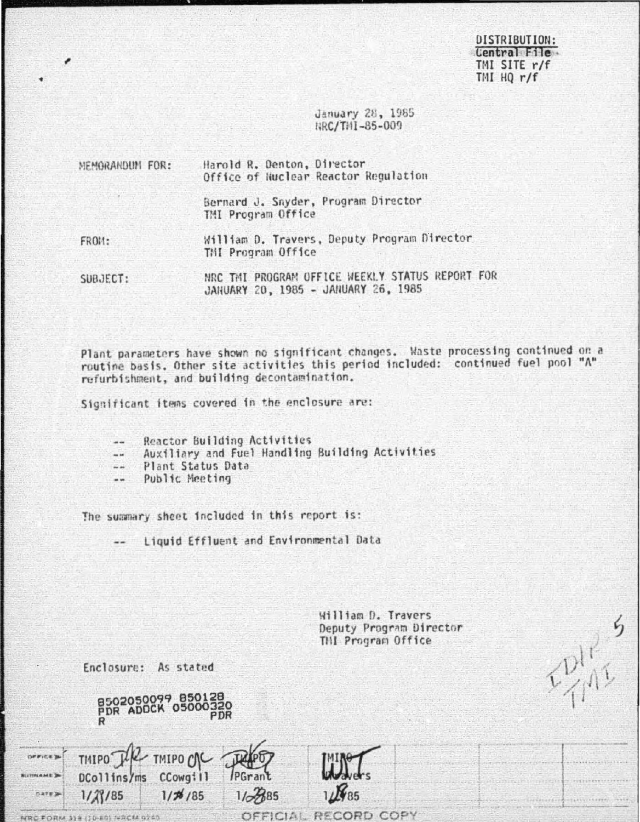DISTRIBUTION: **Central Etles** TMI SITE r/f  $TMHQ r/f$ 

TDIN 5

January 28, 1985 RRC/THI-85-009

Harold R. Denton, Director MEMORANDUM FOR: Office of Nuclear Reactor Regulation Bernard J. Snyder, Program Director. TMI Program Office William D. Travers, Deputy Program Director **FR011:** THI Program Office

NRC TMI PROGRAM OFFICE WEEKLY STATUS REPORT FOR SUBJECT: JANUARY 20, 1985 - JANUARY 26, 1985

Plant parameters have shown no significant changes. Waste processing continued on a routine basis. Other site activities this period included: continued fuel pool "A" refurbishment, and building decontamination.

Significant items covered in the enclosure are:

Reactor Building Activities  $\sim$ 

Auxiliary and Fuel Handling Building Activities  $-\cdot$ 

Plant Status Data  $\sim$ 

Public Meeting  $\frac{1}{2}$ 

The summary sheet included in this report is:

Liquid Effluent and Environmental Data

 $1/67885$ 

**OFFICIAL** 

William D. Travers Deputy Program Director THI Program Office

RECORD COPY

Enclosure: As stated

TIMIPO THE TMIPO CAC

DCollins/ms CCowgill

 $1/23/85$ 

HRC FORM 319 (10-80) NACM 9240

**DEFICE** 

SITINAME P

DATE 3

8502050099 850128<br>PDR ADDCK 05000320

 $1/76/85$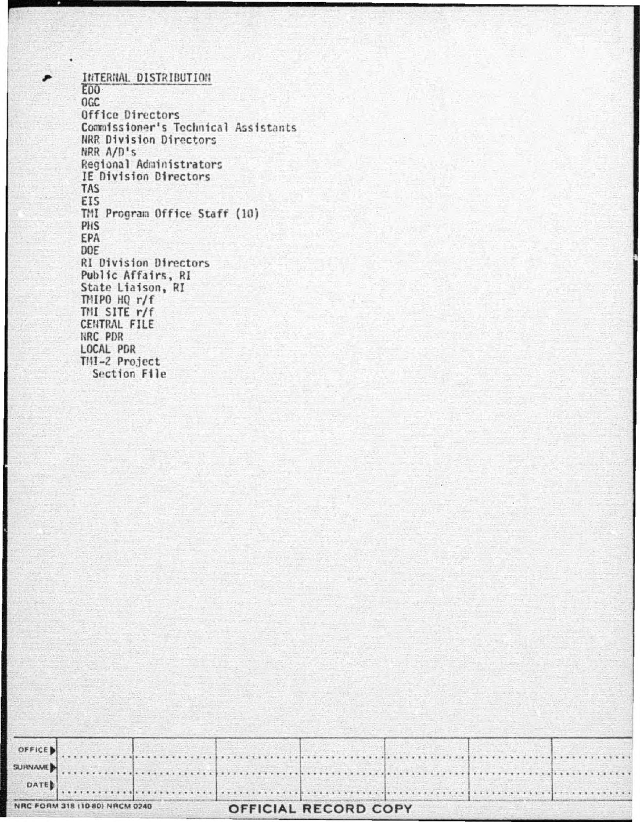INTERNAL DISTRIBUTION EDO-OGC Office Directors Commissioner's Technical Assistants NRR Division Directors NRR A/D's Regional Administrators IE Division Directors **TAS** EIS TMI Program Office Staff (10) PHS EPA DOE **RI Division Directors** Public Affairs, RI State Liaison, RI THIPO HQ r/f THI SITE r/f CENTRAL FILE NRC PDR LOCAL PDR TMI-2 Project Section File

| NRC FORM 318 (10 80) NRCM 0240 |  |  |  |  |  |  |  |  |  |  |  |  |  |  |  |  | OFFICIAL RECORD COPY |  |  |
|--------------------------------|--|--|--|--|--|--|--|--|--|--|--|--|--|--|--|--|----------------------|--|--|
|                                |  |  |  |  |  |  |  |  |  |  |  |  |  |  |  |  |                      |  |  |
| SURNAME                        |  |  |  |  |  |  |  |  |  |  |  |  |  |  |  |  |                      |  |  |
| OFFICE                         |  |  |  |  |  |  |  |  |  |  |  |  |  |  |  |  |                      |  |  |

. . . . . . . .

\*\*\*\*\*\*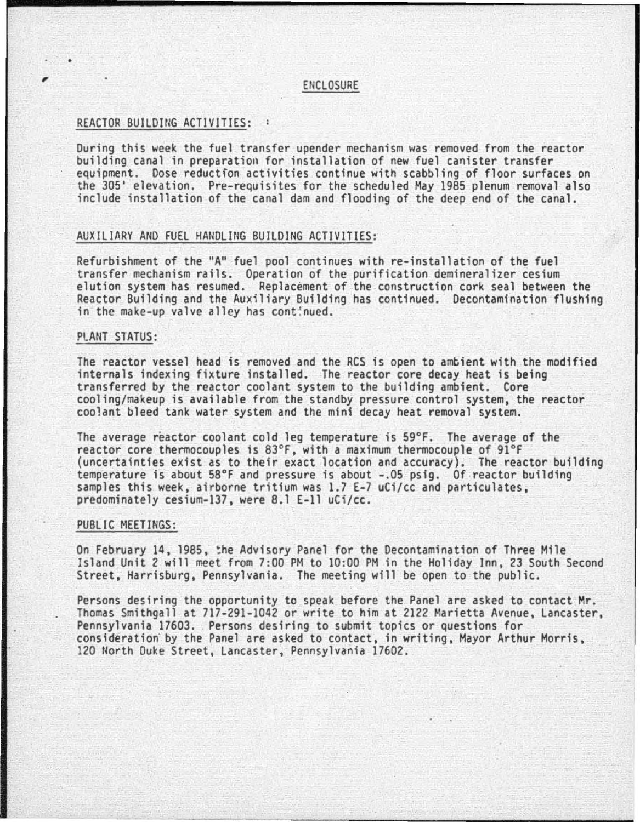# , enclosure

#### REACTOR BUILDinG ACTIVITIES:

During this week the fuel transfer upender mechanism was removed from the reactor building canal in preparation for installation of new fuel canister transfer equipment. Dose reduction activities continue with scabbling of floor surfaces on the 305' elevation. Pre-requisites for the scheduled May 1985 plenum removal also include installation of the canal dam and flooding of the deep end of the canal.

### AUXILIARY AND FUEL HANDLING BUILDING ACTIVITIES:

Refurbishment of the "A" fuel pool continues with re-installation of the fuel transfer mechanism rails. Operation of the purification demineralizer cesium elution system has resumed. Replacement of the construction cork seal between the Reactor Building and the Auxiliary Building has continued. Decontamination flushing<br>in the make-up valve alley has cont: nued.

## PLANT STATUS:

The reactor vessel head is removed and the RCS is open to ambient with the modified internals indexing fixture installed. The reactor core decay heat is being transferred by the reactor coolant system to the building ambient. Core cooling/makeup is available from the standby pressure control system, the reactor coo1ant bleed tank water system and the mini decay heat removal system.

The average reactor coolant cold leg temperature is 59°F. The average of the reactor core thermocouples is 83°F, with a maximum thermocouple of 91°F (uncertainties exist as to their exact location and accuracy). The reactor building temperature is about 58°F and pressure is about -.05 psig. Of reactor building samples this week, airborne tritium was 1.7 E-7 uCi/cc and particulates, predominately cesium-137, were 8.1 E-11 uCi/cc.

#### PUBLIC MEETINGS:

On February 14, 1985, the Advisory Panel for the Decontamination of Three Mile Island Unit 2 will meet from 7:00 PM to 10:00 PM in the Holiday Inn, 23 South Second Street, Harrisburg, Pennsylvania. The meeting will be open to the public.

Persons desiring the opportunity to speak before the Panel are asked to contact Mr. Thomas Smithgall at 717-291-1042 or write to him at 2122 Marietta Avenue, Lancaster, Pennsylvania 17603. Persons desiring to submit topics or questions for consideration· by the Panel are asked to contact, in writing, Mayor Arthur Morris, 120 North Duke Street, Lancaster, Pennsylvania 17602.